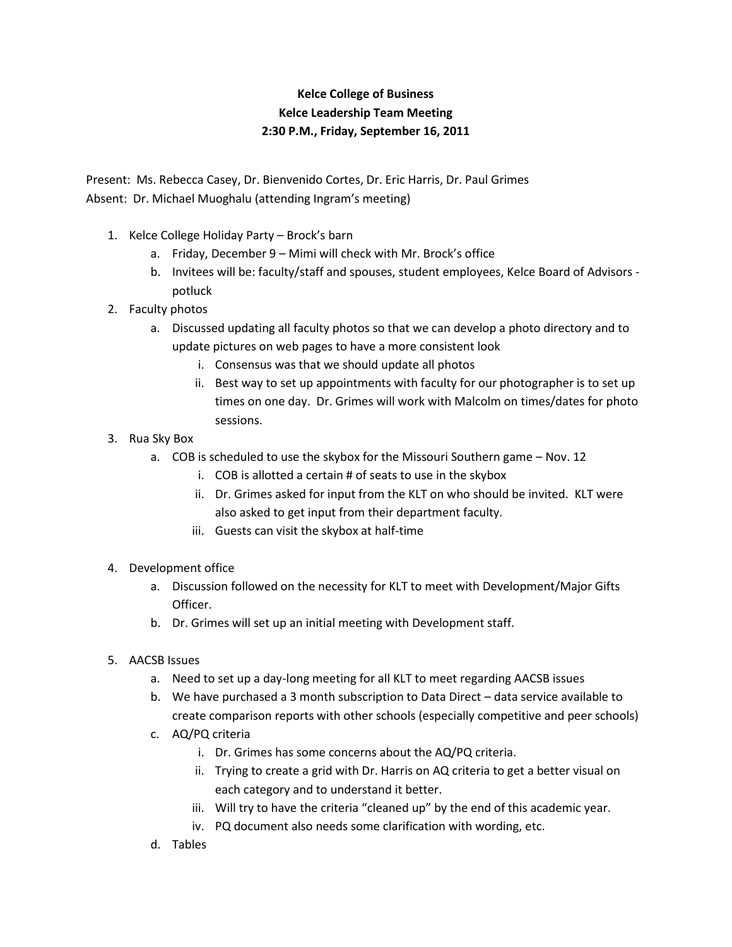## **Kelce College of Business Kelce Leadership Team Meeting 2:30 P.M., Friday, September 16, 2011**

Present: Ms. Rebecca Casey, Dr. Bienvenido Cortes, Dr. Eric Harris, Dr. Paul Grimes Absent: Dr. Michael Muoghalu (attending Ingram's meeting)

- 1. Kelce College Holiday Party Brock's barn
	- a. Friday, December 9 Mimi will check with Mr. Brock's office
	- b. Invitees will be: faculty/staff and spouses, student employees, Kelce Board of Advisors potluck
- 2. Faculty photos
	- a. Discussed updating all faculty photos so that we can develop a photo directory and to update pictures on web pages to have a more consistent look
		- i. Consensus was that we should update all photos
		- ii. Best way to set up appointments with faculty for our photographer is to set up times on one day. Dr. Grimes will work with Malcolm on times/dates for photo sessions.
- 3. Rua Sky Box
	- a. COB is scheduled to use the skybox for the Missouri Southern game Nov. 12
		- i. COB is allotted a certain # of seats to use in the skybox
		- ii. Dr. Grimes asked for input from the KLT on who should be invited. KLT were also asked to get input from their department faculty.
		- iii. Guests can visit the skybox at half-time
- 4. Development office
	- a. Discussion followed on the necessity for KLT to meet with Development/Major Gifts Officer.
	- b. Dr. Grimes will set up an initial meeting with Development staff.
- 5. AACSB Issues
	- a. Need to set up a day-long meeting for all KLT to meet regarding AACSB issues
	- b. We have purchased a 3 month subscription to Data Direct data service available to create comparison reports with other schools (especially competitive and peer schools)
	- c. AQ/PQ criteria
		- i. Dr. Grimes has some concerns about the AQ/PQ criteria.
		- ii. Trying to create a grid with Dr. Harris on AQ criteria to get a better visual on each category and to understand it better.
		- iii. Will try to have the criteria "cleaned up" by the end of this academic year.
		- iv. PQ document also needs some clarification with wording, etc.
	- d. Tables